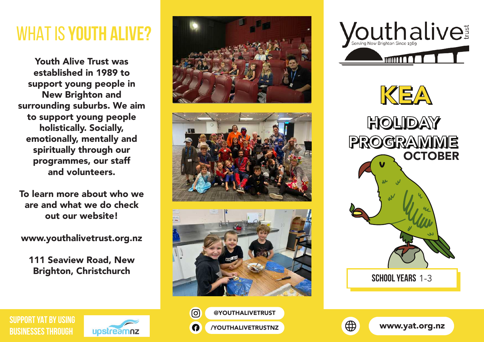## WHAT IS **YOUTH ALIVE?**

Youth Alive Trust was established in 1989 to support young people in New Brighton and surrounding suburbs. We aim to support young people holistically. Socially, emotionally, mentally and spiritually through our programmes, our staff and volunteers.

To learn more about who we are and what we do check out our website!

www.youthalivetrust.org.nz

111 Seaview Road, New Brighton, Christchurch

















@YOUTHALIVETRUST /YOUTHALIVETRUSTNZ